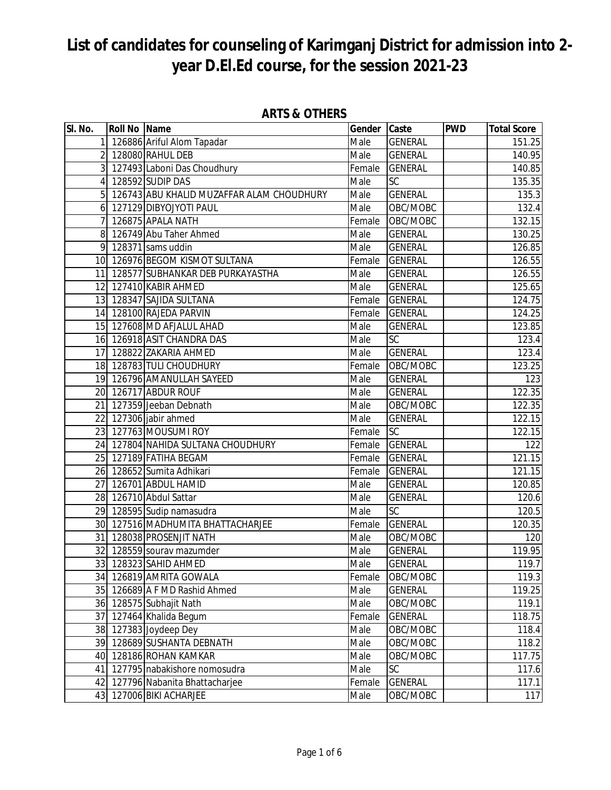| SI. No. | Roll No Name |                                           | Gender Caste |                | <b>PWD</b> | <b>Total Score</b>  |
|---------|--------------|-------------------------------------------|--------------|----------------|------------|---------------------|
|         |              | 1 126886 Ariful Alom Tapadar              | Male         | <b>GENERAL</b> |            | 151.25              |
|         |              | 2 128080 RAHUL DEB                        | Male         | <b>GENERAL</b> |            | 140.95              |
|         |              | 3 127493 Laboni Das Choudhury             | Female       | <b>GENERAL</b> |            | 140.85              |
|         |              | 4 128592 SUDIP DAS                        | Male         | SC             |            | 135.35              |
|         |              | 126743 ABU KHALID MUZAFFAR ALAM CHOUDHURY | Male         | <b>GENERAL</b> |            | 135.3               |
|         |              | 6 127129 DIBYOJYOTI PAUL                  | Male         | OBC/MOBC       |            | 132.4               |
|         |              | 7 126875 APALA NATH                       | Female       | OBC/MOBC       |            | 132.15              |
|         |              | 8 126749 Abu Taher Ahmed                  | Male         | <b>GENERAL</b> |            | 130.25              |
|         |              | 9 128371 sams uddin                       | Male         | <b>GENERAL</b> |            | 126.85              |
|         |              | 10 126976 BEGOM KISMOT SULTANA            | Female       | <b>GENERAL</b> |            | 126.55              |
|         |              | 11 128577 SUBHANKAR DEB PURKAYASTHA       | Male         | <b>GENERAL</b> |            | 126.55              |
|         |              | 12 127410 KABIR AHMED                     | Male         | <b>GENERAL</b> |            | 125.65              |
|         |              | 13 128347 SAJIDA SULTANA                  | Female       | <b>GENERAL</b> |            | 124.75              |
|         |              | 14 128100 RAJEDA PARVIN                   | Female       | <b>GENERAL</b> |            | 124.25              |
|         |              | 15 127608 MD AFJALUL AHAD                 | Male         | <b>GENERAL</b> |            | 123.85              |
|         |              | 16 126918 ASIT CHANDRA DAS                | Male         | <b>SC</b>      |            | 123.4               |
|         |              | 17 128822 ZAKARIA AHMED                   | Male         | <b>GENERAL</b> |            | 123.4               |
|         |              | 18 128783 TULI CHOUDHURY                  | Female       | OBC/MOBC       |            | 123.25              |
|         |              | 19 126796 AMANULLAH SAYEED                | Male         | <b>GENERAL</b> |            | 123                 |
|         |              | 20 126717 ABDUR ROUF                      | Male         | <b>GENERAL</b> |            | 122.35              |
|         |              | 21 127359 Jeeban Debnath                  | Male         | OBC/MOBC       |            | 122.35              |
|         |              | 22 127306 jabir ahmed                     | Male         | <b>GENERAL</b> |            | 122.15              |
|         |              | 23 127763 MOUSUMI ROY                     | Female       | <b>SC</b>      |            | $\overline{122.15}$ |
|         |              | 24 127804 NAHIDA SULTANA CHOUDHURY        | Female       | <b>GENERAL</b> |            | 122                 |
|         |              | 25 127189 FATIHA BEGAM                    | Female       | <b>GENERAL</b> |            | $\overline{121}.15$ |
|         |              | 26 128652 Sumita Adhikari                 | Female       | <b>GENERAL</b> |            | 121.15              |
|         |              | 27 126701 ABDUL HAMID                     | Male         | <b>GENERAL</b> |            | 120.85              |
|         |              | 28 126710 Abdul Sattar                    | Male         | <b>GENERAL</b> |            | 120.6               |
|         |              | 29 128595 Sudip namasudra                 | Male         | <b>SC</b>      |            | 120.5               |
|         |              | 30 127516 MADHUMITA BHATTACHARJEE         | Female       | <b>GENERAL</b> |            | 120.35              |
|         |              | 31 128038 PROSENJIT NATH                  | Male         | OBC/MOBC       |            | 120                 |
|         |              | 32 128559 sourav mazumder                 | Male         | <b>GENERAL</b> |            | 119.95              |
|         |              | 33 128323 SAHID AHMED                     | Male         | <b>GENERAL</b> |            | 119.7               |
|         |              | 34 126819 AMRITA GOWALA                   | Female       | OBC/MOBC       |            | 119.3               |
|         |              | 35 126689 A F MD Rashid Ahmed             | Male         | <b>GENERAL</b> |            | 119.25              |
|         |              | 36 128575 Subhajit Nath                   | Male         | OBC/MOBC       |            | 119.1               |
|         |              | 37 127464 Khalida Begum                   | Female       | <b>GENERAL</b> |            | 118.75              |
|         |              | 38 127383 Joydeep Dey                     | Male         | OBC/MOBC       |            | 118.4               |
|         |              | 39 128689 SUSHANTA DEBNATH                | Male         | OBC/MOBC       |            | 118.2               |
|         |              | 40 128186 ROHAN KAMKAR                    | Male         | OBC/MOBC       |            | 117.75              |
|         |              | 41 127795 nabakishore nomosudra           | Male         | <b>SC</b>      |            | 117.6               |
|         |              | 42 127796 Nabanita Bhattacharjee          | Female       | <b>GENERAL</b> |            | 117.1               |
|         |              | 43 127006 BIKI ACHARJEE                   | Male         | OBC/MOBC       |            | 117                 |

#### **ARTS & OTHERS**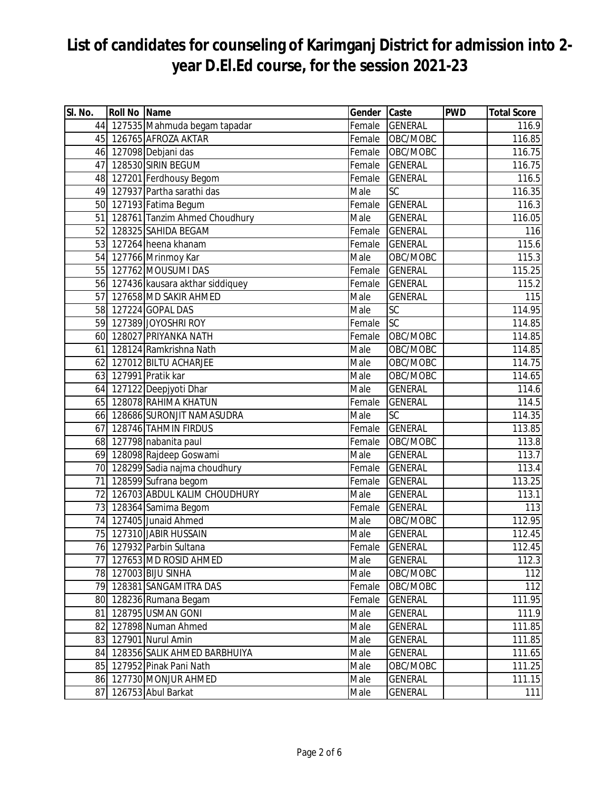| SI. No. | <b>Roll No Name</b> |                                    | Gender | Caste          | <b>PWD</b> | <b>Total Score</b> |
|---------|---------------------|------------------------------------|--------|----------------|------------|--------------------|
|         |                     | 44 127535 Mahmuda begam tapadar    | Female | <b>GENERAL</b> |            | 116.9              |
|         |                     | 45 126765 AFROZA AKTAR             | Female | OBC/MOBC       |            | 116.85             |
|         |                     | 46 127098 Debjani das              | Female | OBC/MOBC       |            | 116.75             |
| 47      |                     | 128530 SIRIN BEGUM                 | Female | <b>GENERAL</b> |            | 116.75             |
|         |                     | 48 127201 Ferdhousy Begom          | Female | <b>GENERAL</b> |            | 116.5              |
|         |                     | 49 127937 Partha sarathi das       | Male   | SC             |            | 116.35             |
|         |                     | 50 127193 Fatima Begum             | Female | <b>GENERAL</b> |            | 116.3              |
| 51      |                     | 128761 Tanzim Ahmed Choudhury      | Male   | <b>GENERAL</b> |            | 116.05             |
|         |                     | 52 128325 SAHIDA BEGAM             | Female | <b>GENERAL</b> |            | 116                |
|         |                     | 53 127264 heena khanam             | Female | <b>GENERAL</b> |            | 115.6              |
|         |                     | 54 127766 Mrinmoy Kar              | Male   | OBC/MOBC       |            | 115.3              |
|         |                     | 55 127762 MOUSUMI DAS              | Female | <b>GENERAL</b> |            | 115.25             |
|         |                     | 56 127436 kausara akthar siddiquey | Female | <b>GENERAL</b> |            | 115.2              |
| 57      |                     | 127658 MD SAKIR AHMED              | Male   | <b>GENERAL</b> |            | 115                |
|         |                     | 58 127224 GOPAL DAS                | Male   | SC             |            | 114.95             |
|         |                     | 59 127389 JOYOSHRI ROY             | Female | <b>SC</b>      |            | 114.85             |
|         |                     | 60 128027 PRIYANKA NATH            | Female | OBC/MOBC       |            | 114.85             |
|         |                     | 61 128124 Ramkrishna Nath          | Male   | OBC/MOBC       |            | 114.85             |
|         |                     | 62 127012 BILTU ACHARJEE           | Male   | OBC/MOBC       |            | 114.75             |
|         |                     | 63 127991 Pratik kar               | Male   | OBC/MOBC       |            | 114.65             |
|         |                     | 64 127122 Deepjyoti Dhar           | Male   | <b>GENERAL</b> |            | 114.6              |
|         |                     | 65 128078 RAHIMA KHATUN            | Female | <b>GENERAL</b> |            | 114.5              |
|         |                     | 66 128686 SURONJIT NAMASUDRA       | Male   | SC             |            | 114.35             |
| 67      |                     | 128746 TAHMIN FIRDUS               | Female | <b>GENERAL</b> |            | 113.85             |
|         |                     | 68 127798 nabanita paul            | Female | OBC/MOBC       |            | 113.8              |
|         |                     | 69 128098 Rajdeep Goswami          | Male   | <b>GENERAL</b> |            | 113.7              |
|         |                     | 70 128299 Sadia najma choudhury    | Female | <b>GENERAL</b> |            | 113.4              |
| 71      |                     | 128599 Sufrana begom               | Female | <b>GENERAL</b> |            | 113.25             |
| 72      |                     | 126703 ABDUL KALIM CHOUDHURY       | Male   | <b>GENERAL</b> |            | 113.1              |
|         |                     | 73 128364 Samima Begom             | Female | <b>GENERAL</b> |            | 113                |
|         |                     | 74 127405 Junaid Ahmed             | Male   | OBC/MOBC       |            | 112.95             |
|         |                     | 75 127310 JABIR HUSSAIN            | Male   | <b>GENERAL</b> |            | 112.45             |
|         |                     | 76 127932 Parbin Sultana           | Female | <b>GENERAL</b> |            | 112.45             |
| 77      |                     | 127653 MD ROSID AHMED              | Male   | <b>GENERAL</b> |            | 112.3              |
|         |                     | 78 127003 BIJU SINHA               | Male   | OBC/MOBC       |            | 112                |
|         |                     | 79 128381 SANGAMITRA DAS           | Female | OBC/MOBC       |            | 112                |
|         |                     | 80 128236 Rumana Begam             | Female | <b>GENERAL</b> |            | 111.95             |
|         |                     | 81 128795 USMAN GONI               | Male   | <b>GENERAL</b> |            | 111.9              |
|         |                     | 82 127898 Numan Ahmed              | Male   | <b>GENERAL</b> |            | 111.85             |
|         |                     | 83 127901 Nurul Amin               | Male   | <b>GENERAL</b> |            | 111.85             |
|         |                     | 84 128356 SALIK AHMED BARBHUIYA    | Male   | <b>GENERAL</b> |            | 111.65             |
|         |                     | 85 127952 Pinak Pani Nath          | Male   | OBC/MOBC       |            | 111.25             |
|         |                     | 86 127730 MONJUR AHMED             | Male   | <b>GENERAL</b> |            | 111.15             |
| 87      |                     | 126753 Abul Barkat                 | Male   | <b>GENERAL</b> |            | 111                |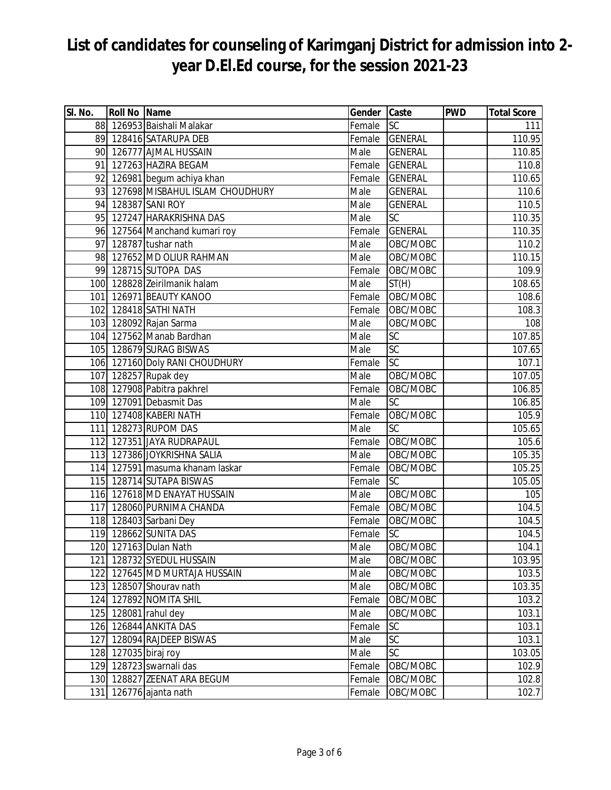| SI. No. | <b>Roll No Name</b>  |                                    | Gender Caste |                 | <b>PWD</b> | <b>Total Score</b> |
|---------|----------------------|------------------------------------|--------------|-----------------|------------|--------------------|
|         |                      | 88 126953 Baishali Malakar         | Female       | <b>SC</b>       |            | 111                |
|         |                      | 89 128416 SATARUPA DEB             | Female       | <b>GENERAL</b>  |            | 110.95             |
|         |                      | 90 126777 AJMAL HUSSAIN            | Male         | <b>GENERAL</b>  |            | 110.85             |
|         |                      | 91 127263 HAZIRA BEGAM             | Female       | <b>GENERAL</b>  |            | 110.8              |
|         |                      | 92 126981 begum achiya khan        | Female       | <b>GENERAL</b>  |            | 110.65             |
|         |                      | 93 127698 MISBAHUL ISLAM CHOUDHURY | Male         | <b>GENERAL</b>  |            | 110.6              |
|         |                      | 94 128387 SANI ROY                 | Male         | <b>GENERAL</b>  |            | 110.5              |
|         |                      | 95 127247 HARAKRISHNA DAS          | Male         | <b>SC</b>       |            | 110.35             |
|         |                      | 96 127564 Manchand kumari roy      | Female       | <b>GENERAL</b>  |            | 110.35             |
|         |                      | 97 128787 tushar nath              | Male         | OBC/MOBC        |            | 110.2              |
|         |                      | 98 127652 MD OLIUR RAHMAN          | Male         | OBC/MOBC        |            | 110.15             |
|         |                      | 99 128715 SUTOPA DAS               | Female       | OBC/MOBC        |            | 109.9              |
|         |                      | 100 128828 Zeirilmanik halam       | Male         | ST(H)           |            | 108.65             |
|         |                      | 101 126971 BEAUTY KANOO            | Female       | OBC/MOBC        |            | 108.6              |
|         |                      | 102 128418 SATHI NATH              | Female       | OBC/MOBC        |            | 108.3              |
|         |                      | 103 128092 Rajan Sarma             | Male         | OBC/MOBC        |            | 108                |
|         |                      | 104 127562 Manab Bardhan           | Male         | $\overline{SC}$ |            | 107.85             |
|         |                      | 105 128679 SURAG BISWAS            | Male         | SC              |            | 107.65             |
|         |                      | 106 127160 Doly RANI CHOUDHURY     | Female       | <b>SC</b>       |            | 107.1              |
|         |                      | 107 128257 Rupak dey               | Male         | OBC/MOBC        |            | 107.05             |
|         |                      | 108 127908 Pabitra pakhrel         | Female       | OBC/MOBC        |            | 106.85             |
|         |                      | 109 127091 Debasmit Das            | Male         | SC              |            | 106.85             |
|         |                      | 110 127408 KABERI NATH             | Female       | OBC/MOBC        |            | 105.9              |
|         |                      | 111 128273 RUPOM DAS               | Male         | <b>SC</b>       |            | 105.65             |
|         |                      | 112 127351 JAYA RUDRAPAUL          | Female       | OBC/MOBC        |            | 105.6              |
|         |                      | 113 127386 JOYKRISHNA SALIA        | Male         | OBC/MOBC        |            | 105.35             |
|         |                      | 114 127591 masuma khanam laskar    | Female       | OBC/MOBC        |            | 105.25             |
|         |                      | 115 128714 SUTAPA BISWAS           | Female       | <b>SC</b>       |            | 105.05             |
|         |                      | 116 127618 MD ENAYAT HUSSAIN       | Male         | OBC/MOBC        |            | 105                |
|         |                      | 117 128060 PURNIMA CHANDA          | Female       | OBC/MOBC        |            | 104.5              |
|         |                      | 118 128403 Sarbani Dey             | Female       | OBC/MOBC        |            | 104.5              |
|         |                      | 119 128662 SUNITA DAS              | Female       | SC              |            | 104.5              |
|         |                      | 120 127163 Dulan Nath              | Male         | OBC/MOBC        |            | 104.1              |
|         |                      | 121 128732 SYEDUL HUSSAIN          | Male         | OBC/MOBC        |            | 103.95             |
| 122     |                      | 127645 MD MURTAJA HUSSAIN          | Male         | OBC/MOBC        |            | 103.5              |
|         |                      | 123 128507 Shourav nath            | Male         | OBC/MOBC        |            | 103.35             |
|         |                      | 124 127892 NOMITA SHIL             | Female       | OBC/MOBC        |            | 103.2              |
|         |                      | 125 128081 rahul dey               | Male         | OBC/MOBC        |            | 103.1              |
|         |                      | 126 126844 ANKITA DAS              | Female       | SC              |            | 103.1              |
| 127     |                      | 128094 RAJDEEP BISWAS              | Male         | SC              |            | 103.1              |
|         | 128 127035 biraj roy |                                    | Male         | SC              |            | 103.05             |
|         |                      | 129 128723 swarnali das            | Female       | OBC/MOBC        |            | 102.9              |
|         |                      | 130 128827 ZEENAT ARA BEGUM        | Female       | OBC/MOBC        |            | 102.8              |
|         |                      | 131 126776 ajanta nath             | Female       | OBC/MOBC        |            | 102.7              |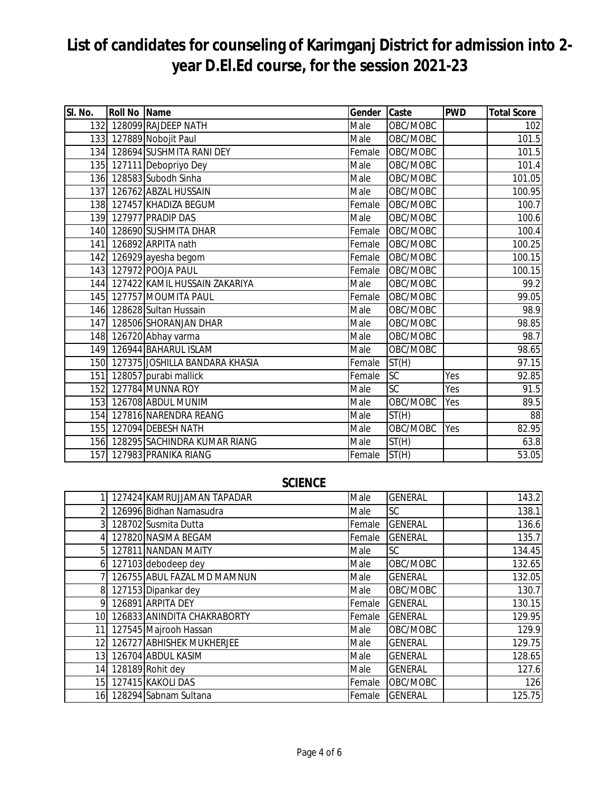| SI. No.          | <b>Roll No Name</b> |                                    | Gender | Caste     | <b>PWD</b> | <b>Total Score</b> |
|------------------|---------------------|------------------------------------|--------|-----------|------------|--------------------|
|                  |                     | 132 128099 RAJDEEP NATH            | Male   | OBC/MOBC  |            | 102                |
|                  |                     | 133 127889 Nobojit Paul            | Male   | OBC/MOBC  |            | 101.5              |
|                  |                     | 134 128694 SUSHMITA RANI DEY       | Female | OBC/MOBC  |            | 101.5              |
|                  |                     | 135 127111 Debopriyo Dey           | Male   | OBC/MOBC  |            | 101.4              |
|                  |                     | 136 128583 Subodh Sinha            | Male   | OBC/MOBC  |            | 101.05             |
|                  |                     | 137 126762 ABZAL HUSSAIN           | Male   | OBC/MOBC  |            | 100.95             |
| 138              |                     | 127457 KHADIZA BEGUM               | Female | OBC/MOBC  |            | 100.7              |
|                  |                     | 139 127977 PRADIP DAS              | Male   | OBC/MOBC  |            | 100.6              |
|                  |                     | 140 128690 SUSHMITA DHAR           | Female | OBC/MOBC  |            | 100.4              |
|                  |                     | 141 126892 ARPITA nath             | Female | OBC/MOBC  |            | 100.25             |
|                  |                     | 142 126929 ayesha begom            | Female | OBC/MOBC  |            | 100.15             |
| 143              |                     | 127972 POOJA PAUL                  | Female | OBC/MOBC  |            | 100.15             |
| 144              |                     | 127422 KAMIL HUSSAIN ZAKARIYA      | Male   | OBC/MOBC  |            | 99.2               |
|                  |                     | 145 127757 MOUMITA PAUL            | Female | OBC/MOBC  |            | 99.05              |
|                  |                     | 146 128628 Sultan Hussain          | Male   | OBC/MOBC  |            | 98.9               |
|                  |                     | 147 128506 SHORANJAN DHAR          | Male   | OBC/MOBC  |            | 98.85              |
|                  |                     | 148 126720 Abhay varma             | Male   | OBC/MOBC  |            | 98.7               |
|                  |                     | 149 126944 BAHARUL ISLAM           | Male   | OBC/MOBC  |            | 98.65              |
|                  |                     | 150 127375 JOSHILLA BANDARA KHASIA | Female | ST(H)     |            | 97.15              |
| 151 <sup>1</sup> |                     | 128057 purabi mallick              | Female | <b>SC</b> | Yes        | 92.85              |
| 152              |                     | 127784 MUNNA ROY                   | Male   | <b>SC</b> | Yes        | 91.5               |
|                  |                     | 153 126708 ABDUL MUNIM             | Male   | OBC/MOBC  | Yes        | 89.5               |
|                  |                     | 154 127816 NARENDRA REANG          | Male   | ST(H)     |            | 88                 |
|                  |                     | 155 127094 DEBESH NATH             | Male   | OBC/MOBC  | Yes        | 82.95              |
|                  |                     | 156 128295 SACHINDRA KUMAR RIANG   | Male   | ST(H)     |            | 63.8               |
| 157              |                     | 127983 PRANIKA RIANG               | Female | ST(H)     |            | 53.05              |

#### **SCIENCE**

|                 | 127424 KAMRUJJAMAN TAPADAR  | Male   | <b>GENERAL</b> | 143.2  |
|-----------------|-----------------------------|--------|----------------|--------|
|                 | 126996 Bidhan Namasudra     | Male   | <b>SC</b>      | 138.1  |
|                 | 128702 Susmita Dutta        | Female | <b>GENERAL</b> | 136.6  |
|                 | 127820 NASIMA BEGAM         | Female | <b>GENERAL</b> | 135.7  |
| 5 <sup>1</sup>  | 127811 NANDAN MAITY         | Male   | <b>SC</b>      | 134.45 |
| 61              | 127103 debodeep dey         | Male   | OBC/MOBC       | 132.65 |
|                 | 126755 ABUL FAZAL MD MAMNUN | Male   | <b>GENERAL</b> | 132.05 |
|                 | 127153 Dipankar dey         | Male   | OBC/MOBC       | 130.7  |
| 9               | 126891 ARPITA DEY           | Female | <b>GENERAL</b> | 130.15 |
| 10 <sup>1</sup> | 126833 ANINDITA CHAKRABORTY | Female | <b>GENERAL</b> | 129.95 |
| 11              | 127545 Majrooh Hassan       | Male   | OBC/MOBC       | 129.9  |
| 12 <sub>l</sub> | 126727 ABHISHEK MUKHERJEE   | Male   | <b>GENERAL</b> | 129.75 |
| 13 <sup>1</sup> | 126704 ABDUL KASIM          | Male   | <b>GENERAL</b> | 128.65 |
| 14              | 128189 Rohit dey            | Male   | <b>GENERAL</b> | 127.6  |
| 15 <sup>1</sup> | 127415 KAKOLI DAS           | Female | OBC/MOBC       | 126    |
|                 | 16 128294 Sabnam Sultana    | Female | <b>GENERAL</b> | 125.75 |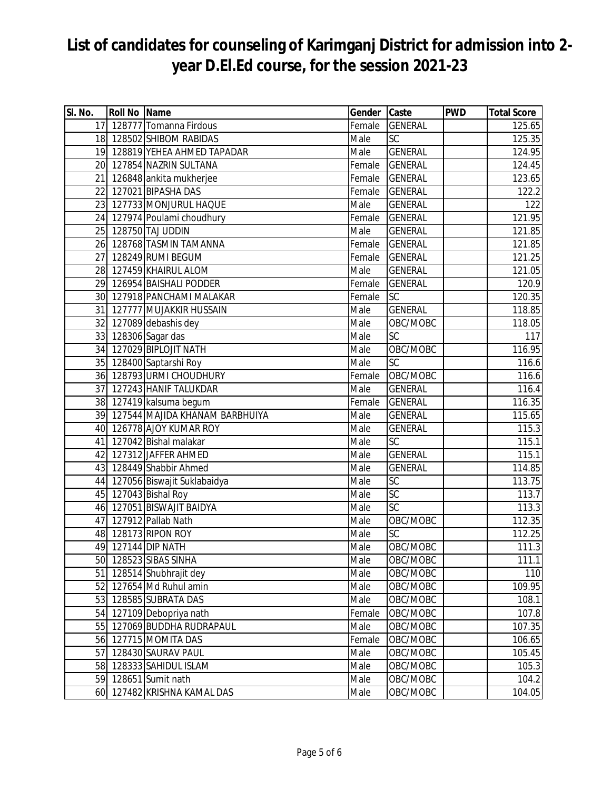| SI. No. | <b>Roll No Name</b> |                                   | Gender | Caste           | <b>PWD</b> | <b>Total Score</b>  |
|---------|---------------------|-----------------------------------|--------|-----------------|------------|---------------------|
|         |                     | 17 128777 Tomanna Firdous         | Female | <b>GENERAL</b>  |            | 125.65              |
|         |                     | 18 128502 SHIBOM RABIDAS          | Male   | SC              |            | 125.35              |
|         |                     | 19 128819 YEHEA AHMED TAPADAR     | Male   | <b>GENERAL</b>  |            | 124.95              |
|         |                     | 20 127854 NAZRIN SULTANA          | Female | <b>GENERAL</b>  |            | 124.45              |
| 21      |                     | 126848 ankita mukherjee           | Female | <b>GENERAL</b>  |            | 123.65              |
| 22      |                     | 127021 BIPASHA DAS                | Female | <b>GENERAL</b>  |            | 122.2               |
|         |                     | 23 127733 MONJURUL HAQUE          | Male   | <b>GENERAL</b>  |            | 122                 |
|         |                     | 24 127974 Poulami choudhury       | Female | <b>GENERAL</b>  |            | 121.95              |
|         |                     | 25 128750 TAJ UDDIN               | Male   | <b>GENERAL</b>  |            | 121.85              |
|         |                     | 26 128768 TASMIN TAMANNA          | Female | <b>GENERAL</b>  |            | 121.85              |
| 27      |                     | 128249 RUMI BEGUM                 | Female | <b>GENERAL</b>  |            | $\overline{121}.25$ |
|         |                     | 28 127459 KHAIRUL ALOM            | Male   | <b>GENERAL</b>  |            | 121.05              |
|         |                     | 29 126954 BAISHALI PODDER         | Female | <b>GENERAL</b>  |            | 120.9               |
|         |                     | 30 127918 PANCHAMI MALAKAR        | Female | <b>SC</b>       |            | 120.35              |
| 31      |                     | 127777 MUJAKKIR HUSSAIN           | Male   | <b>GENERAL</b>  |            | 118.85              |
|         |                     | 32 127089 debashis dey            | Male   | OBC/MOBC        |            | 118.05              |
|         |                     | 33 128306 Sagar das               | Male   | $\overline{SC}$ |            | 117                 |
|         |                     | 34 127029 BIPLOJIT NATH           | Male   | OBC/MOBC        |            | 116.95              |
|         |                     | 35 128400 Saptarshi Roy           | Male   | SC              |            | 116.6               |
|         |                     | 36 128793 URMI CHOUDHURY          | Female | OBC/MOBC        |            | 116.6               |
|         |                     | 37 127243 HANIF TALUKDAR          | Male   | <b>GENERAL</b>  |            | 116.4               |
|         |                     | 38 127419 kalsuma begum           | Female | <b>GENERAL</b>  |            | 116.35              |
|         |                     | 39 127544 MAJIDA KHANAM BARBHUIYA | Male   | <b>GENERAL</b>  |            | 115.65              |
|         |                     | 40 126778 AJOY KUMAR ROY          | Male   | <b>GENERAL</b>  |            | 115.3               |
| 41      |                     | 127042 Bishal malakar             | Male   | SC              |            | 115.1               |
|         |                     | 42 127312 JAFFER AHMED            | Male   | <b>GENERAL</b>  |            | 115.1               |
|         |                     | 43 128449 Shabbir Ahmed           | Male   | <b>GENERAL</b>  |            | 114.85              |
|         |                     | 44 127056 Biswajit Suklabaidya    | Male   | $\overline{SC}$ |            | 113.75              |
|         |                     | 45 127043 Bishal Roy              | Male   | SC              |            | 113.7               |
|         |                     | 46 127051 BISWAJIT BAIDYA         | Male   | SC              |            | 113.3               |
|         |                     | 47 127912 Pallab Nath             | Male   | OBC/MOBC        |            | 112.35              |
|         |                     | 48 128173 RIPON ROY               | Male   | $\overline{SC}$ |            | 112.25              |
|         |                     | 49 127144 DIP NATH                | Male   | OBC/MOBC        |            | 111.3               |
|         |                     | 50 128523 SIBAS SINHA             | Male   | OBC/MOBC        |            | 111.1               |
| 51      |                     | 128514 Shubhrajit dey             | Male   | OBC/MOBC        |            | 110                 |
|         |                     | 52 127654 Md Ruhul amin           | Male   | OBC/MOBC        |            | 109.95              |
|         |                     | 53 128585 SUBRATA DAS             | Male   | OBC/MOBC        |            | 108.1               |
|         |                     | 54 127109 Debopriya nath          | Female | OBC/MOBC        |            | 107.8               |
|         |                     | 55 127069 BUDDHA RUDRAPAUL        | Male   | OBC/MOBC        |            | 107.35              |
|         |                     | 56 127715 MOMITA DAS              | Female | OBC/MOBC        |            | 106.65              |
| 57      |                     | 128430 SAURAV PAUL                | Male   | OBC/MOBC        |            | 105.45              |
|         |                     | 58 128333 SAHIDUL ISLAM           | Male   | OBC/MOBC        |            | 105.3               |
|         |                     | 59 128651 Sumit nath              | Male   | OBC/MOBC        |            | 104.2               |
|         |                     | 60 127482 KRISHNA KAMAL DAS       | Male   | OBC/MOBC        |            | 104.05              |